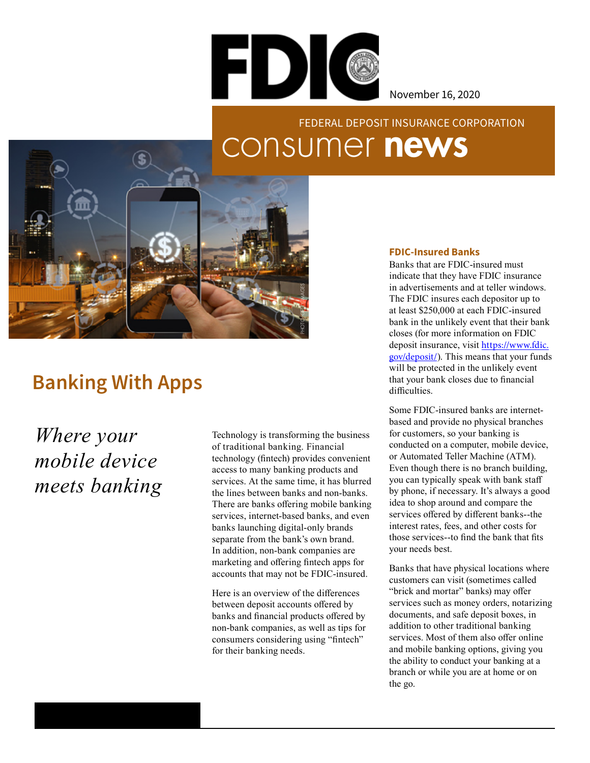

November 16, 2020

## consumer news FEDERAL DEPOSIT INSURANCE CORPORATION



## **Banking With Apps**

*Where your mobile device meets banking*

Technology is transforming the business of traditional banking. Financial technology (fintech) provides convenient access to many banking products and services. At the same time, it has blurred the lines between banks and non-banks. There are banks offering mobile banking services, internet-based banks, and even banks launching digital-only brands separate from the bank's own brand. In addition, non-bank companies are marketing and offering fintech apps for accounts that may not be FDIC-insured.

Here is an overview of the differences between deposit accounts offered by banks and financial products offered by non-bank companies, as well as tips for consumers considering using "fintech" for their banking needs.

## **FDIC-Insured Banks**

Banks that are FDIC-insured must indicate that they have FDIC insurance in advertisements and at teller windows. The FDIC insures each depositor up to at least \$250,000 at each FDIC-insured bank in the unlikely event that their bank closes (for more information on FDIC deposit insurance, visit [https://www.fdic.](https://www.fdic.gov/deposit/) [gov/deposit/](https://www.fdic.gov/deposit/)). This means that your funds will be protected in the unlikely event that your bank closes due to financial difficulties.

Some FDIC-insured banks are internetbased and provide no physical branches for customers, so your banking is conducted on a computer, mobile device, or Automated Teller Machine (ATM). Even though there is no branch building, you can typically speak with bank staff by phone, if necessary. It's always a good idea to shop around and compare the services offered by different banks--the interest rates, fees, and other costs for those services--to find the bank that fits your needs best.

Banks that have physical locations where customers can visit (sometimes called "brick and mortar" banks) may offer services such as money orders, notarizing documents, and safe deposit boxes, in addition to other traditional banking services. Most of them also offer online and mobile banking options, giving you the ability to conduct your banking at a branch or while you are at home or on the go.